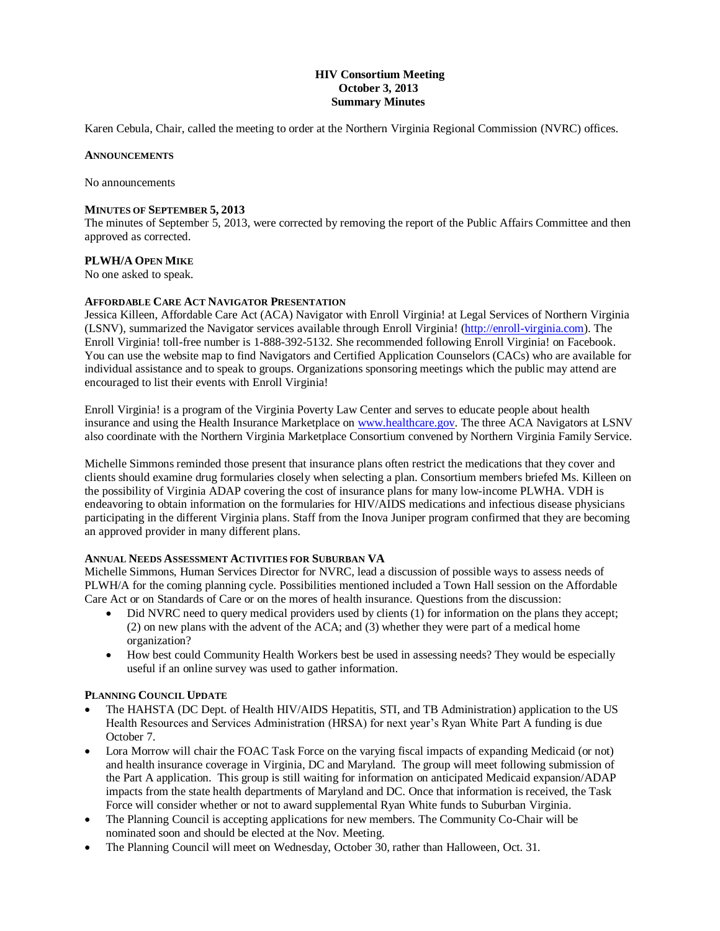## **HIV Consortium Meeting October 3, 2013 Summary Minutes**

Karen Cebula, Chair, called the meeting to order at the Northern Virginia Regional Commission (NVRC) offices.

#### **ANNOUNCEMENTS**

No announcements

#### **MINUTES OF SEPTEMBER 5, 2013**

The minutes of September 5, 2013, were corrected by removing the report of the Public Affairs Committee and then approved as corrected.

### **PLWH/A OPEN MIKE**

No one asked to speak.

#### **AFFORDABLE CARE ACT NAVIGATOR PRESENTATION**

Jessica Killeen, Affordable Care Act (ACA) Navigator with Enroll Virginia! at Legal Services of Northern Virginia (LSNV), summarized the Navigator services available through Enroll Virginia! [\(http://enroll-virginia.com\)](http://enroll-virginia.com/). The Enroll Virginia! toll-free number is 1-888-392-5132. She recommended following Enroll Virginia! on Facebook. You can use the website map to find Navigators and Certified Application Counselors (CACs) who are available for individual assistance and to speak to groups. Organizations sponsoring meetings which the public may attend are encouraged to list their events with Enroll Virginia!

Enroll Virginia! is a program of the Virginia Poverty Law Center and serves to educate people about health insurance and using the Health Insurance Marketplace on [www.healthcare.gov.](http://www.healthcare.gov/) The three ACA Navigators at LSNV also coordinate with the Northern Virginia Marketplace Consortium convened by Northern Virginia Family Service.

Michelle Simmons reminded those present that insurance plans often restrict the medications that they cover and clients should examine drug formularies closely when selecting a plan. Consortium members briefed Ms. Killeen on the possibility of Virginia ADAP covering the cost of insurance plans for many low-income PLWHA. VDH is endeavoring to obtain information on the formularies for HIV/AIDS medications and infectious disease physicians participating in the different Virginia plans. Staff from the Inova Juniper program confirmed that they are becoming an approved provider in many different plans.

#### **ANNUAL NEEDS ASSESSMENT ACTIVITIES FOR SUBURBAN VA**

Michelle Simmons, Human Services Director for NVRC, lead a discussion of possible ways to assess needs of PLWH/A for the coming planning cycle. Possibilities mentioned included a Town Hall session on the Affordable Care Act or on Standards of Care or on the mores of health insurance. Questions from the discussion:

- Did NVRC need to query medical providers used by clients (1) for information on the plans they accept; (2) on new plans with the advent of the ACA; and (3) whether they were part of a medical home organization?
- How best could Community Health Workers best be used in assessing needs? They would be especially useful if an online survey was used to gather information.

#### **PLANNING COUNCIL UPDATE**

- The HAHSTA (DC Dept. of Health HIV/AIDS Hepatitis, STI, and TB Administration) application to the US Health Resources and Services Administration (HRSA) for next year's Ryan White Part A funding is due October 7.
- Lora Morrow will chair the FOAC Task Force on the varying fiscal impacts of expanding Medicaid (or not) and health insurance coverage in Virginia, DC and Maryland. The group will meet following submission of the Part A application. This group is still waiting for information on anticipated Medicaid expansion/ADAP impacts from the state health departments of Maryland and DC. Once that information is received, the Task Force will consider whether or not to award supplemental Ryan White funds to Suburban Virginia.
- The Planning Council is accepting applications for new members. The Community Co-Chair will be nominated soon and should be elected at the Nov. Meeting.
- The Planning Council will meet on Wednesday, October 30, rather than Halloween, Oct. 31.